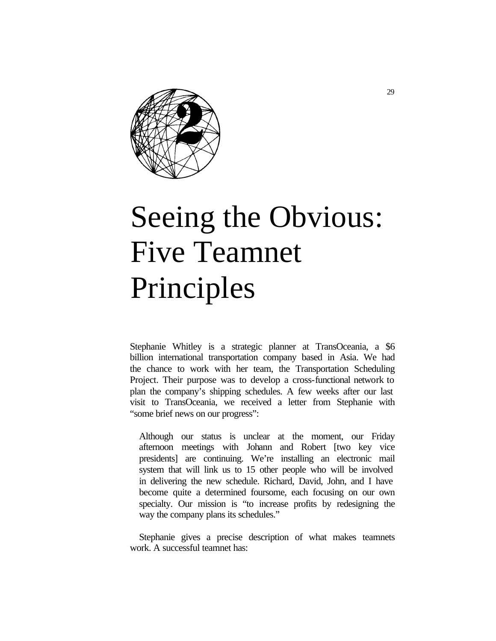

# Seeing the Obvious: Five Teamnet Principles

Stephanie Whitley is a strategic planner at TransOceania, a \$6 billion international transportation company based in Asia. We had the chance to work with her team, the Transportation Scheduling Project. Their purpose was to develop a cross-functional network to plan the company's shipping schedules. A few weeks after our last visit to TransOceania, we received a letter from Stephanie with "some brief news on our progress":

Although our status is unclear at the moment, our Friday afternoon meetings with Johann and Robert [two key vice presidents] are continuing. We're installing an electronic mail system that will link us to 15 other people who will be involved in delivering the new schedule. Richard, David, John, and I have become quite a determined foursome, each focusing on our own specialty. Our mission is "to increase profits by redesigning the way the company plans its schedules."

Stephanie gives a precise description of what makes teamnets work. A successful teamnet has: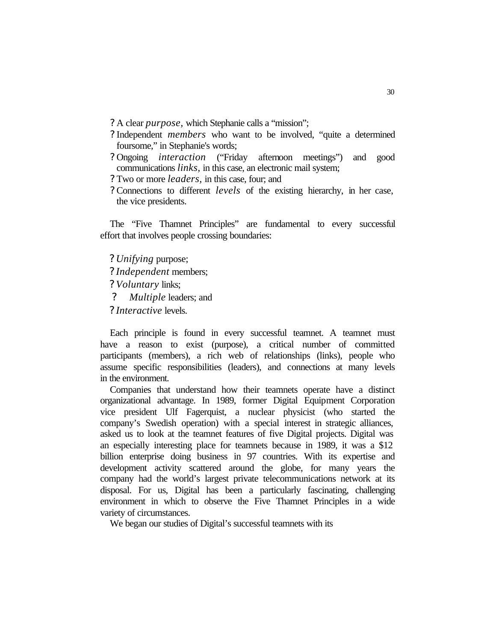- ? A clear *purpose,* which Stephanie calls a "mission";
- ? Independent *members* who want to be involved, "quite a determined foursome," in Stephanie's words;
- ? Ongoing *interaction* ("Friday afternoon meetings") and good communications *links,* in this case, an electronic mail system;
- ? Two or more *leaders,* in this case, four; and
- ? Connections to different *levels* of the existing hierarchy, in her case, the vice presidents.

The "Five Thamnet Principles" are fundamental to every successful effort that involves people crossing boundaries:

*? Unifying* purpose; *? Independent* members; *? Voluntary* links; *? Multiple* leaders; and *? Interactive* levels.

Each principle is found in every successful teamnet. A teamnet must have a reason to exist (purpose), a critical number of committed participants (members), a rich web of relationships (links), people who assume specific responsibilities (leaders), and connections at many levels in the environment.

Companies that understand how their teamnets operate have a distinct organizational advantage. In 1989, former Digital Equipment Corporation vice president Ulf Fagerquist, a nuclear physicist (who started the company's Swedish operation) with a special interest in strategic alliances, asked us to look at the teamnet features of five Digital projects. Digital was an especially interesting place for teamnets because in 1989, it was a \$12 billion enterprise doing business in 97 countries. With its expertise and development activity scattered around the globe, for many years the company had the world's largest private telecommunications network at its disposal. For us, Digital has been a particularly fascinating, challenging environment in which to observe the Five Thamnet Principles in a wide variety of circumstances.

We began our studies of Digital's successful teamnets with its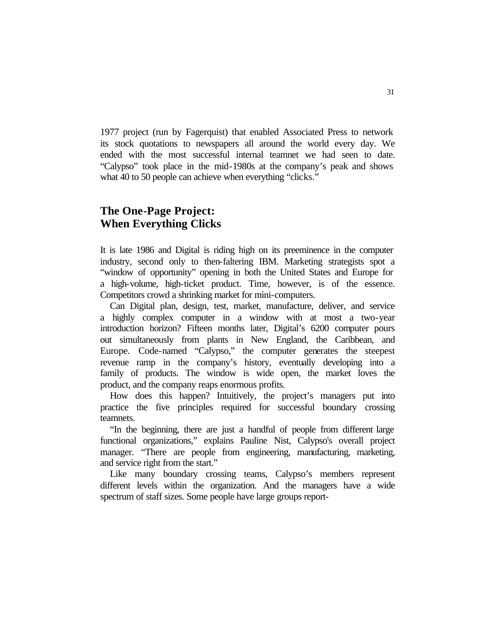1977 project (run by Fagerquist) that enabled Associated Press to network its stock quotations to newspapers all around the world every day. We ended with the most successful internal teamnet we had seen to date. "Calypso" took place in the mid-1980s at the company's peak and shows what 40 to 50 people can achieve when everything "clicks."

# **The One-Page Project: When Everything Clicks**

It is late 1986 and Digital is riding high on its preeminence in the computer industry, second only to then-faltering IBM. Marketing strategists spot a "window of opportunity" opening in both the United States and Europe for a high-volume, high-ticket product. Time, however, is of the essence. Competitors crowd a shrinking market for mini-computers.

Can Digital plan, design, test, market, manufacture, deliver, and service a highly complex computer in a window with at most a two-year introduction horizon? Fifteen months later, Digital's 6200 computer pours out simultaneously from plants in New England, the Caribbean, and Europe. Code-named "Calypso," the computer generates the steepest revenue ramp in the company's history, eventually developing into a family of products. The window is wide open, the market loves the product, and the company reaps enormous profits.

How does this happen? Intuitively, the project's managers put into practice the five principles required for successful boundary crossing teamnets.

"In the beginning, there are just a handful of people from different large functional organizations," explains Pauline Nist, Calypso's overall project manager. "There are people from engineering, manufacturing, marketing, and service right from the start."

Like many boundary crossing teams, Calypso's members represent different levels within the organization. And the managers have a wide spectrum of staff sizes. Some people have large groups report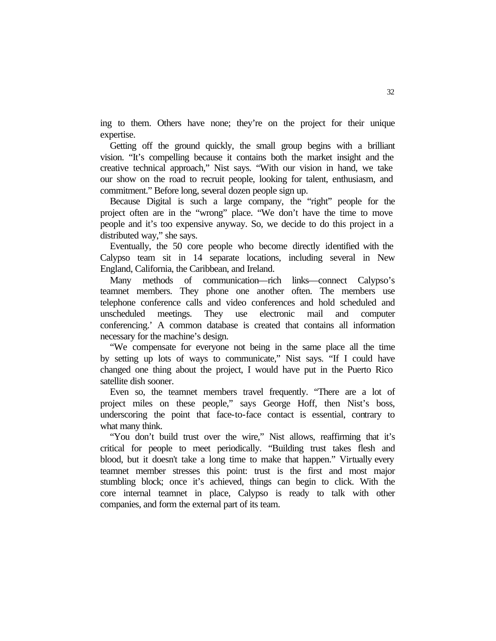ing to them. Others have none; they're on the project for their unique expertise.

Getting off the ground quickly, the small group begins with a brilliant vision. "It's compelling because it contains both the market insight and the creative technical approach," Nist says. "With our vision in hand, we take our show on the road to recruit people, looking for talent, enthusiasm, and commitment." Before long, several dozen people sign up.

Because Digital is such a large company, the "right" people for the project often are in the "wrong" place. "We don't have the time to move people and it's too expensive anyway. So, we decide to do this project in a distributed way," she says.

Eventually, the 50 core people who become directly identified with the Calypso team sit in 14 separate locations, including several in New England, California, the Caribbean, and Ireland.

Many methods of communication—rich links—connect Calypso's teamnet members. They phone one another often. The members use telephone conference calls and video conferences and hold scheduled and unscheduled meetings. They use electronic mail and computer conferencing.' A common database is created that contains all information necessary for the machine's design.

"We compensate for everyone not being in the same place all the time by setting up lots of ways to communicate," Nist says. "If I could have changed one thing about the project, I would have put in the Puerto Rico satellite dish sooner.

Even so, the teamnet members travel frequently. "There are a lot of project miles on these people," says George Hoff, then Nist's boss, underscoring the point that face-to-face contact is essential, contrary to what many think.

"You don't build trust over the wire," Nist allows, reaffirming that it's critical for people to meet periodically. "Building trust takes flesh and blood, but it doesn't take a long time to make that happen." Virtually every teamnet member stresses this point: trust is the first and most major stumbling block; once it's achieved, things can begin to click. With the core internal teamnet in place, Calypso is ready to talk with other companies, and form the external part of its team.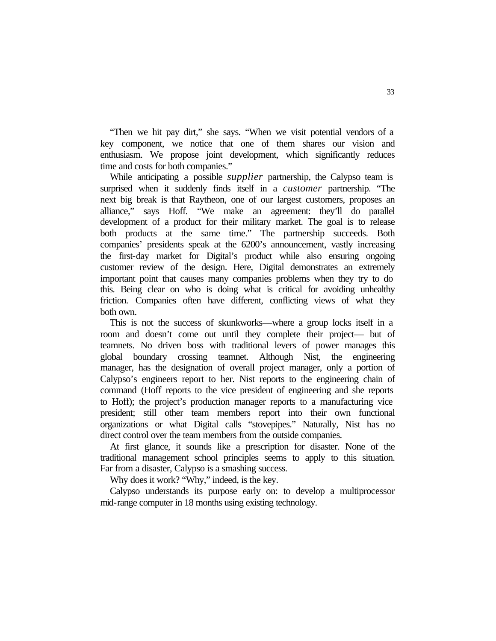"Then we hit pay dirt," she says. "When we visit potential vendors of a key component, we notice that one of them shares our vision and enthusiasm. We propose joint development, which significantly reduces time and costs for both companies."

While anticipating a possible *supplier* partnership, the Calypso team is surprised when it suddenly finds itself in a *customer* partnership. "The next big break is that Raytheon, one of our largest customers, proposes an alliance," says Hoff. "We make an agreement: they'll do parallel development of a product for their military market. The goal is to release both products at the same time." The partnership succeeds. Both companies' presidents speak at the 6200's announcement, vastly increasing the first-day market for Digital's product while also ensuring ongoing customer review of the design. Here, Digital demonstrates an extremely important point that causes many companies problems when they try to do this. Being clear on who is doing what is critical for avoiding unhealthy friction. Companies often have different, conflicting views of what they both own.

This is not the success of skunkworks—where a group locks itself in a room and doesn't come out until they complete their project— but of teamnets. No driven boss with traditional levers of power manages this global boundary crossing teamnet. Although Nist, the engineering manager, has the designation of overall project manager, only a portion of Calypso's engineers report to her. Nist reports to the engineering chain of command (Hoff reports to the vice president of engineering and she reports to Hoff); the project's production manager reports to a manufacturing vice president; still other team members report into their own functional organizations or what Digital calls "stovepipes." Naturally, Nist has no direct control over the team members from the outside companies.

At first glance, it sounds like a prescription for disaster. None of the traditional management school principles seems to apply to this situation. Far from a disaster, Calypso is a smashing success.

Why does it work? "Why," indeed, is the key.

Calypso understands its purpose early on: to develop a multiprocessor mid-range computer in 18 months using existing technology.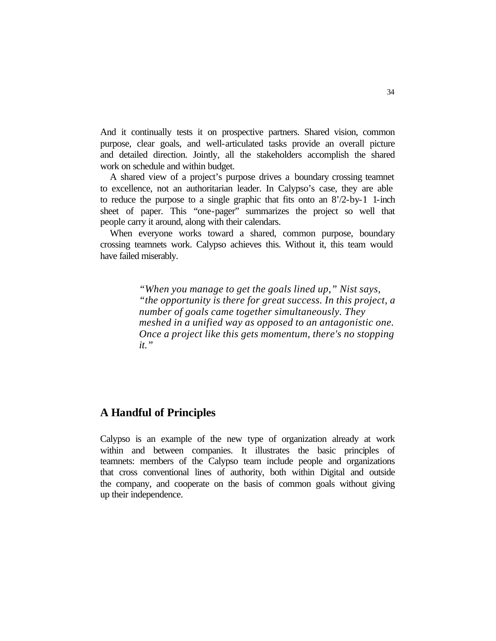And it continually tests it on prospective partners. Shared vision, common purpose, clear goals, and well-articulated tasks provide an overall picture and detailed direction. Jointly, all the stakeholders accomplish the shared work on schedule and within budget.

A shared view of a project's purpose drives a boundary crossing teamnet to excellence, not an authoritarian leader. In Calypso's case, they are able to reduce the purpose to a single graphic that fits onto an 8'/2-by-1 1-inch sheet of paper. This "one-pager" summarizes the project so well that people carry it around, along with their calendars.

When everyone works toward a shared, common purpose, boundary crossing teamnets work. Calypso achieves this. Without it, this team would have failed miserably.

> *"When you manage to get the goals lined up," Nist says, "the opportunity is there for great success. In this project, a number of goals came together simultaneously. They meshed in a unified way as opposed to an antagonistic one. Once a project like this gets momentum, there's no stopping it."*

## **A Handful of Principles**

Calypso is an example of the new type of organization already at work within and between companies. It illustrates the basic principles of teamnets: members of the Calypso team include people and organizations that cross conventional lines of authority, both within Digital and outside the company, and cooperate on the basis of common goals without giving up their independence.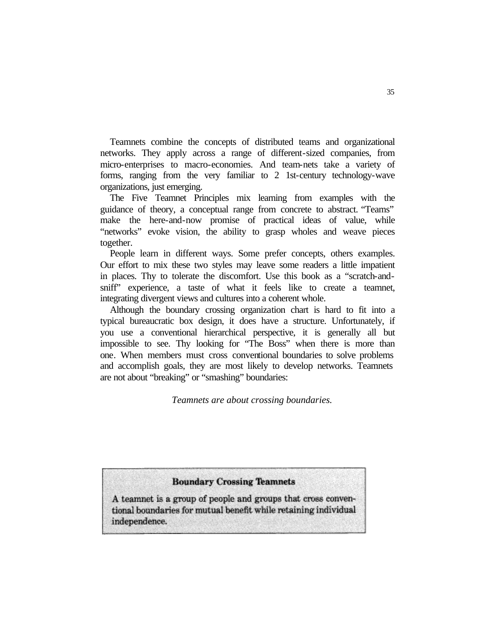Teamnets combine the concepts of distributed teams and organizational networks. They apply across a range of different-sized companies, from micro-enterprises to macro-economies. And team-nets take a variety of forms, ranging from the very familiar to 2 1st-century technology-wave organizations, just emerging.

The Five Teamnet Principles mix learning from examples with the guidance of theory, a conceptual range from concrete to abstract. "Teams" make the here-and-now promise of practical ideas of value, while "networks" evoke vision, the ability to grasp wholes and weave pieces together.

People learn in different ways. Some prefer concepts, others examples. Our effort to mix these two styles may leave some readers a little impatient in places. Thy to tolerate the discomfort. Use this book as a "scratch-andsniff" experience, a taste of what it feels like to create a teamnet, integrating divergent views and cultures into a coherent whole.

Although the boundary crossing organization chart is hard to fit into a typical bureaucratic box design, it does have a structure. Unfortunately, if you use a conventional hierarchical perspective, it is generally all but impossible to see. Thy looking for "The Boss" when there is more than one. When members must cross conventional boundaries to solve problems and accomplish goals, they are most likely to develop networks. Teamnets are not about "breaking" or "smashing" boundaries:

#### *Teamnets are about crossing boundaries.*

## **Boundary Crossing Teamnets**

A teamnet is a group of people and groups that cross conventional boundaries for mutual benefit while retaining individual independence.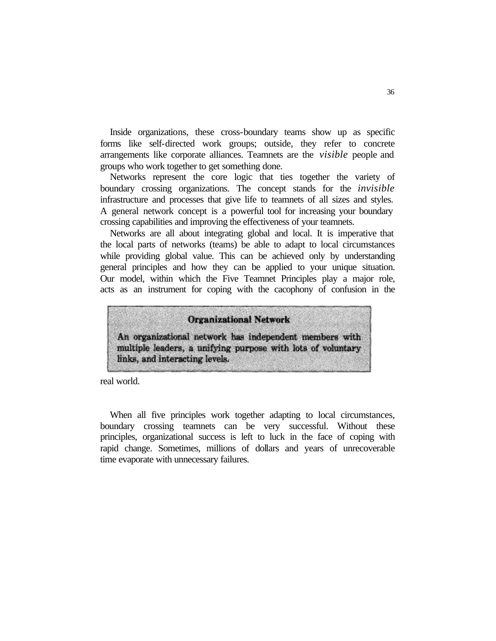Inside organizations, these cross-boundary teams show up as specific forms like self-directed work groups; outside, they refer to concrete arrangements like corporate alliances. Teamnets are the *visible* people and groups who work together to get something done.

Networks represent the core logic that ties together the variety of boundary crossing organizations. The concept stands for the *invisible*  infrastructure and processes that give life to teamnets of all sizes and styles. A general network concept is a powerful tool for increasing your boundary crossing capabilities and improving the effectiveness of your teamnets.

Networks are all about integrating global and local. It is imperative that the local parts of networks (teams) be able to adapt to local circumstances while providing global value. This can be achieved only by understanding general principles and how they can be applied to your unique situation. Our model, within which the Five Teamnet Principles play a major role, acts as an instrument for coping with the cacophony of confusion in the



real world.

When all five principles work together adapting to local circumstances, boundary crossing teamnets can be very successful. Without these principles, organizational success is left to luck in the face of coping with rapid change. Sometimes, millions of dollars and years of unrecoverable time evaporate with unnecessary failures.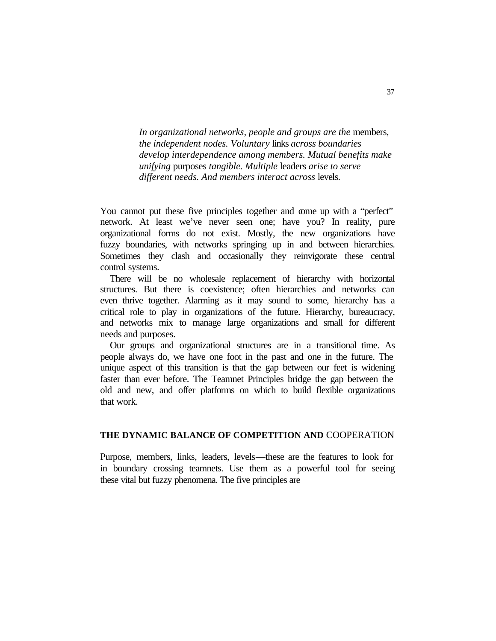*In organizational networks, people and groups are the* members, *the independent nodes. Voluntary* links *across boundaries develop interdependence among members. Mutual benefits make unifying* purposes *tangible. Multiple* leaders *arise to serve different needs. And members interact across* levels.

You cannot put these five principles together and come up with a "perfect" network. At least we've never seen one; have you? In reality, pure organizational forms do not exist. Mostly, the new organizations have fuzzy boundaries, with networks springing up in and between hierarchies. Sometimes they clash and occasionally they reinvigorate these central control systems.

There will be no wholesale replacement of hierarchy with horizontal structures. But there is coexistence; often hierarchies and networks can even thrive together. Alarming as it may sound to some, hierarchy has a critical role to play in organizations of the future. Hierarchy, bureaucracy, and networks mix to manage large organizations and small for different needs and purposes.

Our groups and organizational structures are in a transitional time. As people always do, we have one foot in the past and one in the future. The unique aspect of this transition is that the gap between our feet is widening faster than ever before. The Teamnet Principles bridge the gap between the old and new, and offer platforms on which to build flexible organizations that work.

#### **THE DYNAMIC BALANCE OF COMPETITION AND** COOPERATION

Purpose, members, links, leaders, levels—these are the features to look for in boundary crossing teamnets. Use them as a powerful tool for seeing these vital but fuzzy phenomena. The five principles are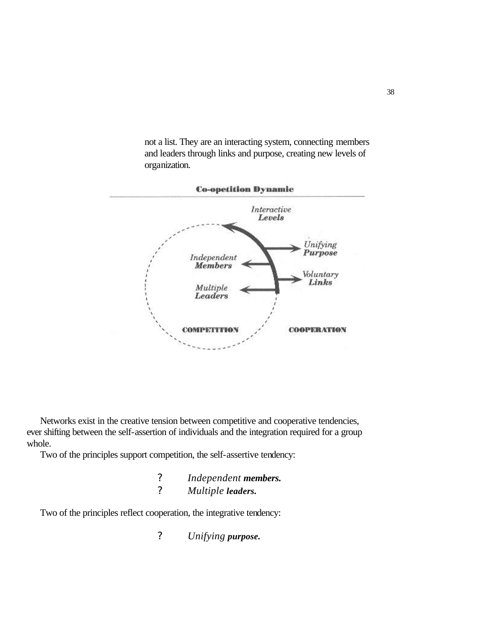not a list. They are an interacting system, connecting members and leaders through links and purpose, creating new levels of organization.



Networks exist in the creative tension between competitive and cooperative tendencies, ever shifting between the self-assertion of individuals and the integration required for a group whole.

Two of the principles support competition, the self-assertive tendency:

- *? Independent members.*
- *? Multiple leaders.*

Two of the principles reflect cooperation, the integrative tendency:

*? Unifying purpose.*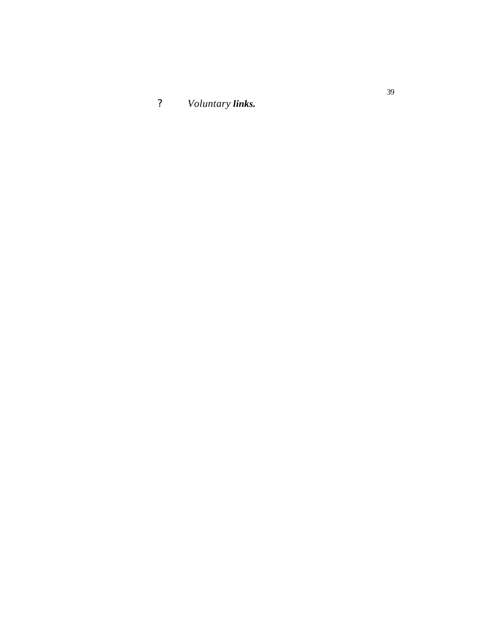*? Voluntary links.*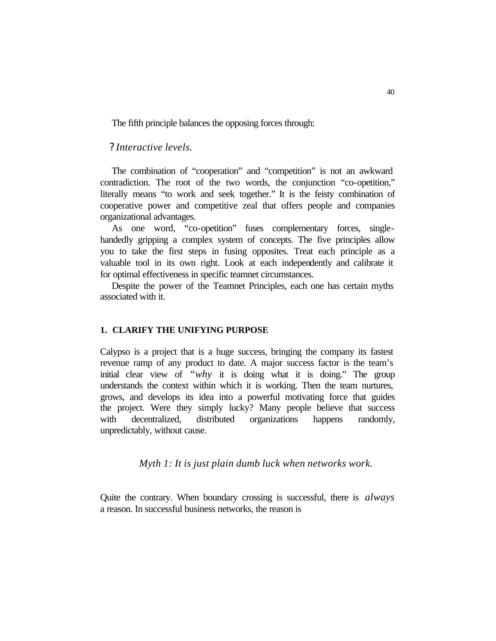The fifth principle balances the opposing forces through:

## *? Interactive levels.*

The combination of "cooperation" and "competition" is not an awkward contradiction. The root of the two words, the conjunction "co-opetition," literally means "to work and seek together." It is the feisty combination of cooperative power and competitive zeal that offers people and companies organizational advantages.

As one word, "co-opetition" fuses complementary forces, singlehandedly gripping a complex system of concepts. The five principles allow you to take the first steps in fusing opposites. Treat each principle as a valuable tool in its own right. Look at each independently and calibrate it for optimal effectiveness in specific teamnet circumstances.

Despite the power of the Teamnet Principles, each one has certain myths associated with it.

#### **1. CLARIFY THE UNIFYING PURPOSE**

Calypso is a project that is a huge success, bringing the company its fastest revenue ramp of any product to date. A major success factor is the team's initial clear view of *"why* it is doing what it is doing." The group understands the context within which it is working. Then the team nurtures, grows, and develops its idea into a powerful motivating force that guides the project. Were they simply lucky? Many people believe that success with decentralized, distributed organizations happens randomly, unpredictably, without cause.

*Myth 1: It is just plain dumb luck when networks work.*

Quite the contrary. When boundary crossing is successful, there is *always*  a reason. In successful business networks, the reason is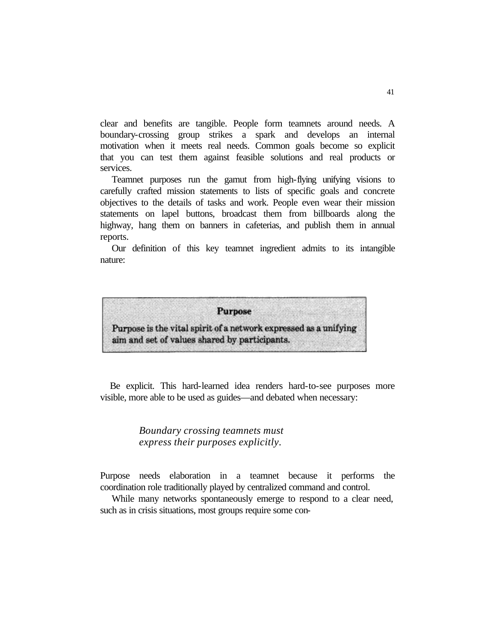clear and benefits are tangible. People form teamnets around needs. A boundary-crossing group strikes a spark and develops an internal motivation when it meets real needs. Common goals become so explicit that you can test them against feasible solutions and real products or services.

Teamnet purposes run the gamut from high-flying unifying visions to carefully crafted mission statements to lists of specific goals and concrete objectives to the details of tasks and work. People even wear their mission statements on lapel buttons, broadcast them from billboards along the highway, hang them on banners in cafeterias, and publish them in annual reports.

Our definition of this key teamnet ingredient admits to its intangible nature:



Be explicit. This hard-learned idea renders hard-to-see purposes more visible, more able to be used as guides—and debated when necessary:

## *Boundary crossing teamnets must express their purposes explicitly.*

Purpose needs elaboration in a teamnet because it performs the coordination role traditionally played by centralized command and control.

While many networks spontaneously emerge to respond to a clear need, such as in crisis situations, most groups require some con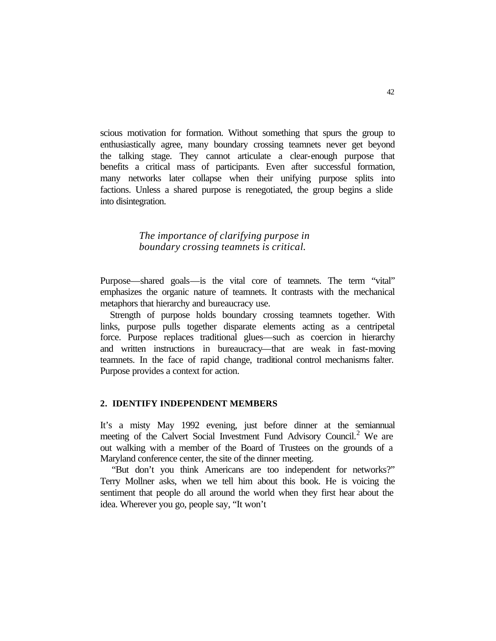scious motivation for formation. Without something that spurs the group to enthusiastically agree, many boundary crossing teamnets never get beyond the talking stage. They cannot articulate a clear-enough purpose that benefits a critical mass of participants. Even after successful formation, many networks later collapse when their unifying purpose splits into factions. Unless a shared purpose is renegotiated, the group begins a slide into disintegration.

## *The importance of clarifying purpose in boundary crossing teamnets is critical.*

Purpose—shared goals—is the vital core of teamnets. The term "vital" emphasizes the organic nature of teamnets. It contrasts with the mechanical metaphors that hierarchy and bureaucracy use.

Strength of purpose holds boundary crossing teamnets together. With links, purpose pulls together disparate elements acting as a centripetal force. Purpose replaces traditional glues—such as coercion in hierarchy and written instructions in bureaucracy—that are weak in fast-moving teamnets. In the face of rapid change, traditional control mechanisms falter. Purpose provides a context for action.

#### **2. IDENTIFY INDEPENDENT MEMBERS**

It's a misty May 1992 evening, just before dinner at the semiannual meeting of the Calvert Social Investment Fund Advisory Council.<sup>2</sup> We are out walking with a member of the Board of Trustees on the grounds of a Maryland conference center, the site of the dinner meeting.

"But don't you think Americans are too independent for networks?" Terry Mollner asks, when we tell him about this book. He is voicing the sentiment that people do all around the world when they first hear about the idea. Wherever you go, people say, "It won't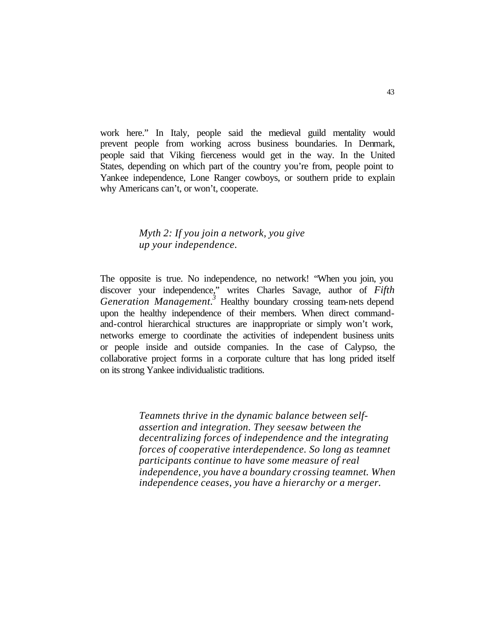work here." In Italy, people said the medieval guild mentality would prevent people from working across business boundaries. In Denmark, people said that Viking fierceness would get in the way. In the United States, depending on which part of the country you're from, people point to Yankee independence, Lone Ranger cowboys, or southern pride to explain why Americans can't, or won't, cooperate.

## *Myth 2: If you join a network, you give up your independence.*

The opposite is true. No independence, no network! "When you join, you discover your independence," writes Charles Savage, author of *Fifth Generation Management.*<sup>3</sup> Healthy boundary crossing team-nets depend upon the healthy independence of their members. When direct commandand-control hierarchical structures are inappropriate or simply won't work, networks emerge to coordinate the activities of independent business units or people inside and outside companies. In the case of Calypso, the collaborative project forms in a corporate culture that has long prided itself on its strong Yankee individualistic traditions.

> *Teamnets thrive in the dynamic balance between selfassertion and integration. They seesaw between the decentralizing forces of independence and the integrating forces of cooperative interdependence. So long as teamnet participants continue to have some measure of real independence, you have a boundary crossing teamnet. When independence ceases, you have a hierarchy or a merger.*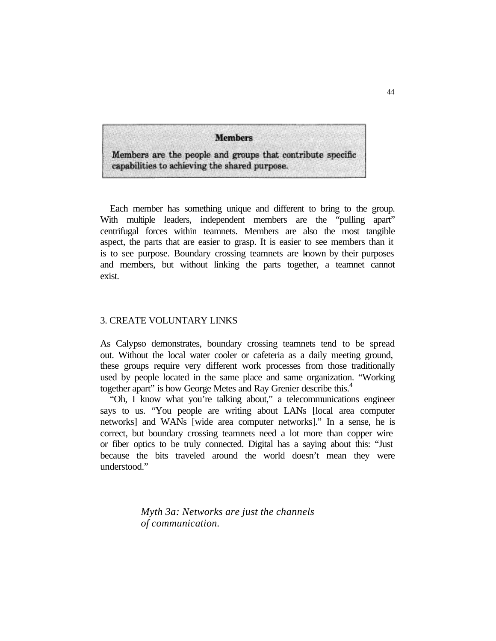**Members** 

Members are the people and groups that contribute specific capabilities to achieving the shared purpose.

Each member has something unique and different to bring to the group. With multiple leaders, independent members are the "pulling apart" centrifugal forces within teamnets. Members are also the most tangible aspect, the parts that are easier to grasp. It is easier to see members than it is to see purpose. Boundary crossing teamnets are known by their purposes and members, but without linking the parts together, a teamnet cannot exist.

## 3. CREATE VOLUNTARY LINKS

As Calypso demonstrates, boundary crossing teamnets tend to be spread out. Without the local water cooler or cafeteria as a daily meeting ground, these groups require very different work processes from those traditionally used by people located in the same place and same organization. "Working together apart" is how George Metes and Ray Grenier describe this.<sup>4</sup>

"Oh, I know what you're talking about," a telecommunications engineer says to us. "You people are writing about LANs [local area computer networks] and WANs [wide area computer networks]." In a sense, he is correct, but boundary crossing teamnets need a lot more than copper wire or fiber optics to be truly connected. Digital has a saying about this: "Just because the bits traveled around the world doesn't mean they were understood."

> *Myth 3a: Networks are just the channels of communication.*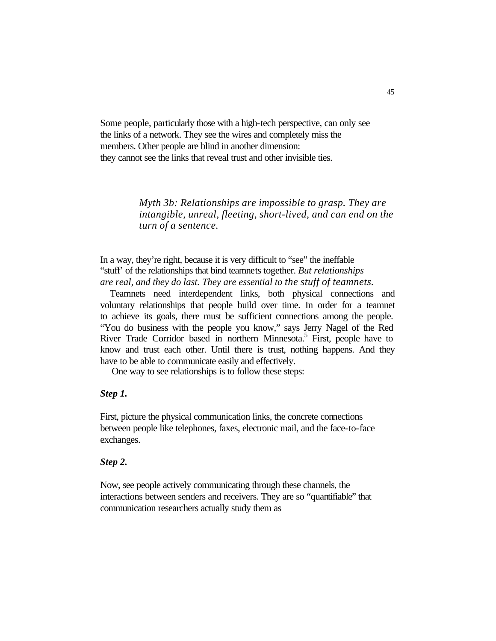Some people, particularly those with a high-tech perspective, can only see the links of a network. They see the wires and completely miss the members. Other people are blind in another dimension: they cannot see the links that reveal trust and other invisible ties.

> *Myth 3b: Relationships are impossible to grasp. They are intangible, unreal, fleeting, short-lived, and can end on the turn of a sentence.*

In a way, they're right, because it is very difficult to "see" the ineffable "stuff' of the relationships that bind teamnets together. *But relationships are real, and they do last. They are essential to the stuff of teamnets.*

Teamnets need interdependent links, both physical connections and voluntary relationships that people build over time. In order for a teamnet to achieve its goals, there must be sufficient connections among the people. "You do business with the people you know," says Jerry Nagel of the Red River Trade Corridor based in northern Minnesota.<sup>5</sup> First, people have to know and trust each other. Until there is trust, nothing happens. And they have to be able to communicate easily and effectively.

One way to see relationships is to follow these steps:

#### *Step 1.*

First, picture the physical communication links, the concrete connections between people like telephones, faxes, electronic mail, and the face-to-face exchanges.

#### *Step 2.*

Now, see people actively communicating through these channels, the interactions between senders and receivers. They are so "quantifiable" that communication researchers actually study them as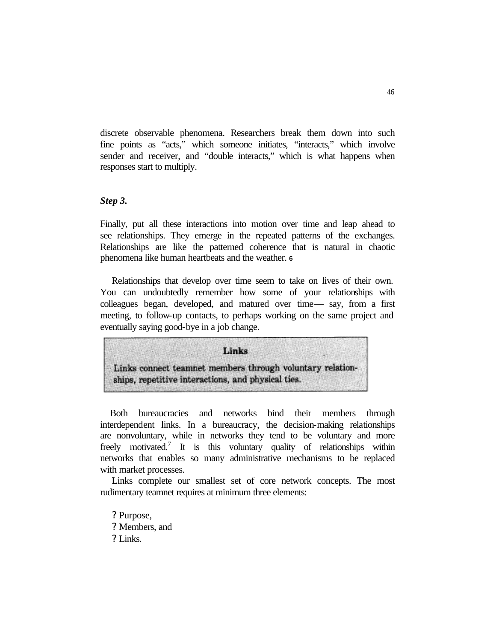discrete observable phenomena. Researchers break them down into such fine points as "acts," which someone initiates, "interacts," which involve sender and receiver, and "double interacts," which is what happens when responses start to multiply.

#### *Step 3.*

Finally, put all these interactions into motion over time and leap ahead to see relationships. They emerge in the repeated patterns of the exchanges. Relationships are like the patterned coherence that is natural in chaotic phenomena like human heartbeats and the weather. **<sup>6</sup>**

Relationships that develop over time seem to take on lives of their own. You can undoubtedly remember how some of your relationships with colleagues began, developed, and matured over time— say, from a first meeting, to follow-up contacts, to perhaps working on the same project and eventually saying good-bye in a job change.



Both bureaucracies and networks bind their members through interdependent links. In a bureaucracy, the decision-making relationships are nonvoluntary, while in networks they tend to be voluntary and more freely motivated.<sup>7</sup> It is this voluntary quality of relationships within networks that enables so many administrative mechanisms to be replaced with market processes.

Links complete our smallest set of core network concepts. The most rudimentary teamnet requires at minimum three elements:

? Purpose, ? Members, and ? Links.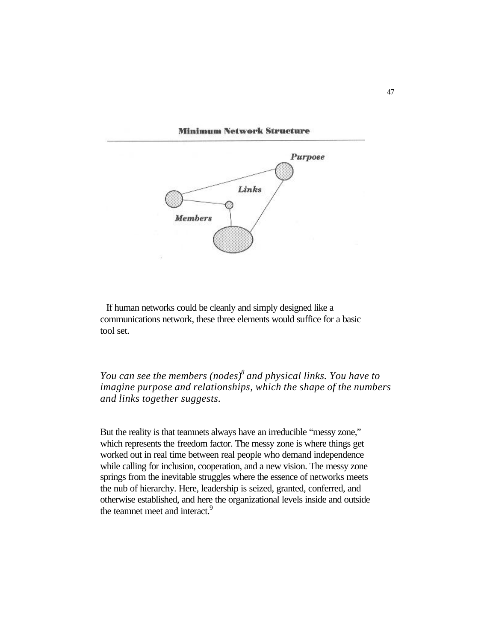#### **Minimum Network Structure**



If human networks could be cleanly and simply designed like a communications network, these three elements would suffice for a basic tool set.

*You can see the members (nodes)<sup>8</sup>and physical links. You have to imagine purpose and relationships, which the shape of the numbers and links together suggests.*

But the reality is that teamnets always have an irreducible "messy zone," which represents the freedom factor. The messy zone is where things get worked out in real time between real people who demand independence while calling for inclusion, cooperation, and a new vision. The messy zone springs from the inevitable struggles where the essence of networks meets the nub of hierarchy. Here, leadership is seized, granted, conferred, and otherwise established, and here the organizational levels inside and outside the teamnet meet and interact.<sup>9</sup>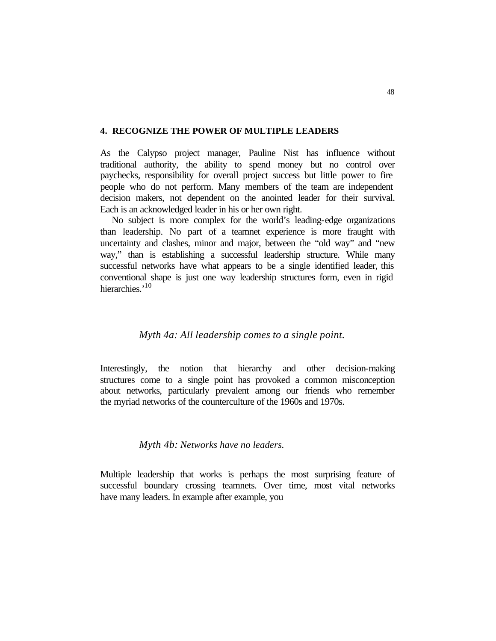#### **4. RECOGNIZE THE POWER OF MULTIPLE LEADERS**

As the Calypso project manager, Pauline Nist has influence without traditional authority, the ability to spend money but no control over paychecks, responsibility for overall project success but little power to fire people who do not perform. Many members of the team are independent decision makers, not dependent on the anointed leader for their survival. Each is an acknowledged leader in his or her own right.

No subject is more complex for the world's leading-edge organizations than leadership. No part of a teamnet experience is more fraught with uncertainty and clashes, minor and major, between the "old way" and "new way," than is establishing a successful leadership structure. While many successful networks have what appears to be a single identified leader, this conventional shape is just one way leadership structures form, even in rigid hierarchies<sup>,10</sup>

### *Myth 4a: All leadership comes to a single point.*

Interestingly, the notion that hierarchy and other decision-making structures come to a single point has provoked a common misconception about networks, particularly prevalent among our friends who remember the myriad networks of the counterculture of the 1960s and 1970s.

### *Myth 4b: Networks have no leaders.*

Multiple leadership that works is perhaps the most surprising feature of successful boundary crossing teamnets. Over time, most vital networks have many leaders. In example after example, you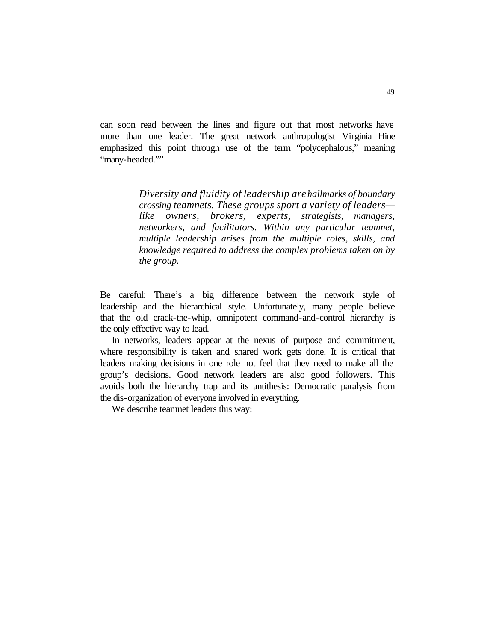can soon read between the lines and figure out that most networks have more than one leader. The great network anthropologist Virginia Hine emphasized this point through use of the term "polycephalous," meaning "many-headed.""

> *Diversity and fluidity of leadership are hallmarks of boundary crossing teamnets. These groups sport a variety of leaders like owners, brokers, experts, strategists, managers, networkers, and facilitators. Within any particular teamnet, multiple leadership arises from the multiple roles, skills, and knowledge required to address the complex problems taken on by the group.*

Be careful: There's a big difference between the network style of leadership and the hierarchical style. Unfortunately, many people believe that the old crack-the-whip, omnipotent command-and-control hierarchy is the only effective way to lead.

In networks, leaders appear at the nexus of purpose and commitment, where responsibility is taken and shared work gets done. It is critical that leaders making decisions in one role not feel that they need to make all the group's decisions. Good network leaders are also good followers. This avoids both the hierarchy trap and its antithesis: Democratic paralysis from the dis-organization of everyone involved in everything.

We describe teamnet leaders this way: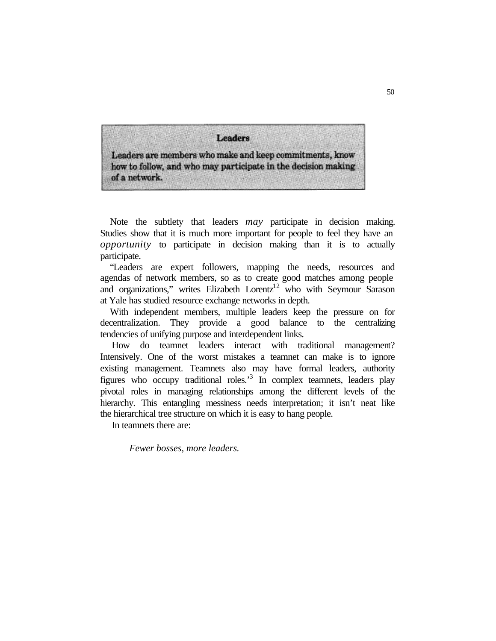Leaders

Leaders are members who make and keep commitments, know how to follow, and who may participate in the decision making of a network.

Note the subtlety that leaders *may* participate in decision making. Studies show that it is much more important for people to feel they have an *opportunity* to participate in decision making than it is to actually participate.

"Leaders are expert followers, mapping the needs, resources and agendas of network members, so as to create good matches among people and organizations," writes Elizabeth Lorentz<sup>12</sup> who with Seymour Sarason at Yale has studied resource exchange networks in depth.

With independent members, multiple leaders keep the pressure on for decentralization. They provide a good balance to the centralizing tendencies of unifying purpose and interdependent links.

How do teamnet leaders interact with traditional management? Intensively. One of the worst mistakes a teamnet can make is to ignore existing management. Teamnets also may have formal leaders, authority figures who occupy traditional roles.<sup>3</sup> In complex teamnets, leaders play pivotal roles in managing relationships among the different levels of the hierarchy. This entangling messiness needs interpretation; it isn't neat like the hierarchical tree structure on which it is easy to hang people.

In teamnets there are:

*Fewer bosses, more leaders.*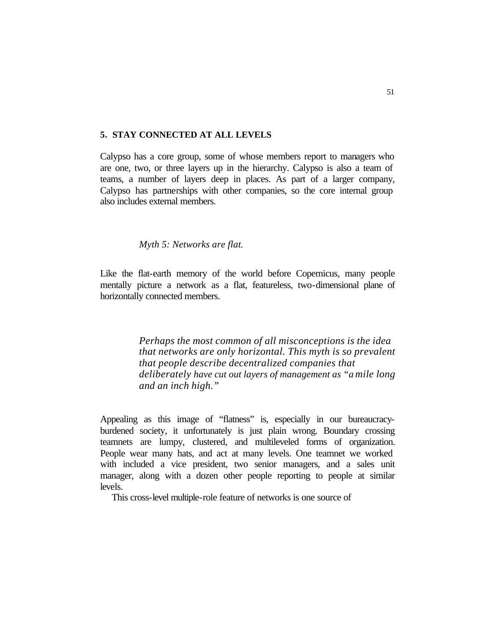#### **5. STAY CONNECTED AT ALL LEVELS**

Calypso has a core group, some of whose members report to managers who are one, two, or three layers up in the hierarchy. Calypso is also a team of teams, a number of layers deep in places. As part of a larger company, Calypso has partnerships with other companies, so the core internal group also includes external members.

## *Myth 5: Networks are flat.*

Like the flat-earth memory of the world before Copernicus, many people mentally picture a network as a flat, featureless, two-dimensional plane of horizontally connected members.

> *Perhaps the most common of all misconceptions is the idea that networks are only horizontal. This myth is so prevalent that people describe decentralized companies that deliberately have cut out layers of management as "a mile long and an inch high."*

Appealing as this image of "flatness" is, especially in our bureaucracyburdened society, it unfortunately is just plain wrong. Boundary crossing teamnets are lumpy, clustered, and multileveled forms of organization. People wear many hats, and act at many levels. One teamnet we worked with included a vice president, two senior managers, and a sales unit manager, along with a dozen other people reporting to people at similar levels.

This cross-level multiple-role feature of networks is one source of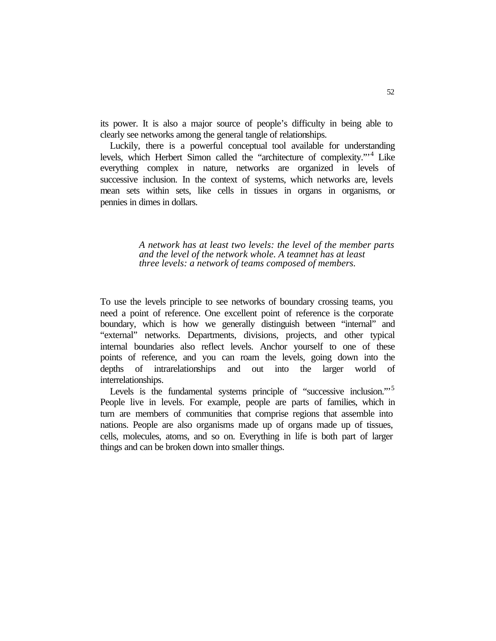its power. It is also a major source of people's difficulty in being able to clearly see networks among the general tangle of relationships.

Luckily, there is a powerful conceptual tool available for understanding levels, which Herbert Simon called the "architecture of complexity."<sup>4</sup> Like everything complex in nature, networks are organized in levels of successive inclusion. In the context of systems, which networks are, levels mean sets within sets, like cells in tissues in organs in organisms, or pennies in dimes in dollars.

> *A network has at least two levels: the level of the member parts and the level of the network whole. A teamnet has at least three levels: a network of teams composed of members.*

To use the levels principle to see networks of boundary crossing teams, you need a point of reference. One excellent point of reference is the corporate boundary, which is how we generally distinguish between "internal" and "external" networks. Departments, divisions, projects, and other typical internal boundaries also reflect levels. Anchor yourself to one of these points of reference, and you can roam the levels, going down into the depths of intrarelationships and out into the larger world of interrelationships.

Levels is the fundamental systems principle of "successive inclusion."<sup>5</sup> People live in levels. For example, people are parts of families, which in turn are members of communities that comprise regions that assemble into nations. People are also organisms made up of organs made up of tissues, cells, molecules, atoms, and so on. Everything in life is both part of larger things and can be broken down into smaller things.